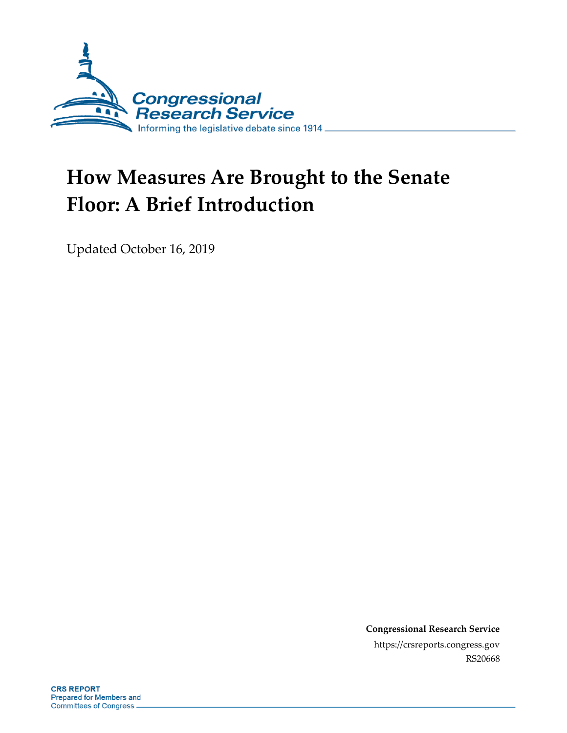

# **How Measures Are Brought to the Senate Floor: A Brief Introduction**

Updated October 16, 2019

**Congressional Research Service** https://crsreports.congress.gov RS20668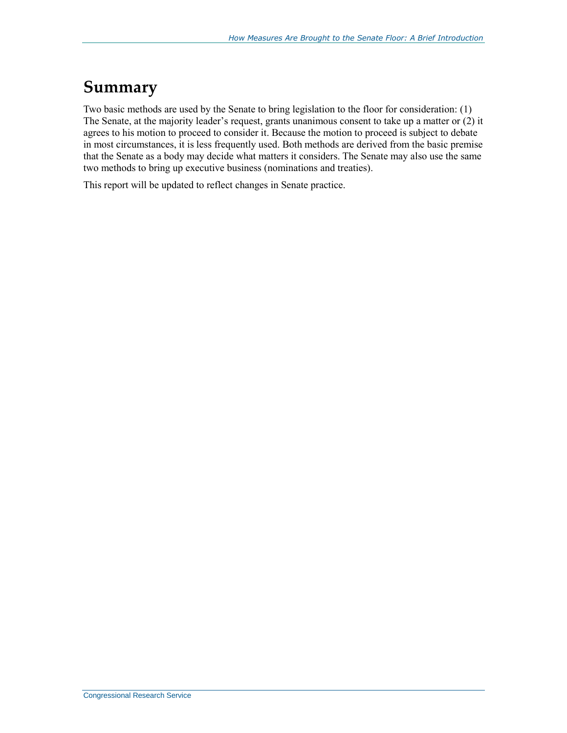### **Summary**

Two basic methods are used by the Senate to bring legislation to the floor for consideration: (1) The Senate, at the majority leader's request, grants unanimous consent to take up a matter or (2) it agrees to his motion to proceed to consider it. Because the motion to proceed is subject to debate in most circumstances, it is less frequently used. Both methods are derived from the basic premise that the Senate as a body may decide what matters it considers. The Senate may also use the same two methods to bring up executive business (nominations and treaties).

This report will be updated to reflect changes in Senate practice.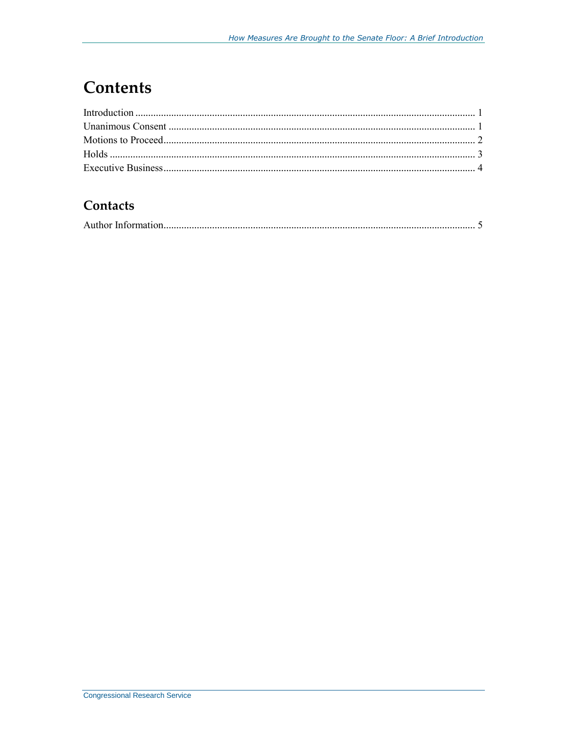# **Contents**

#### Contacts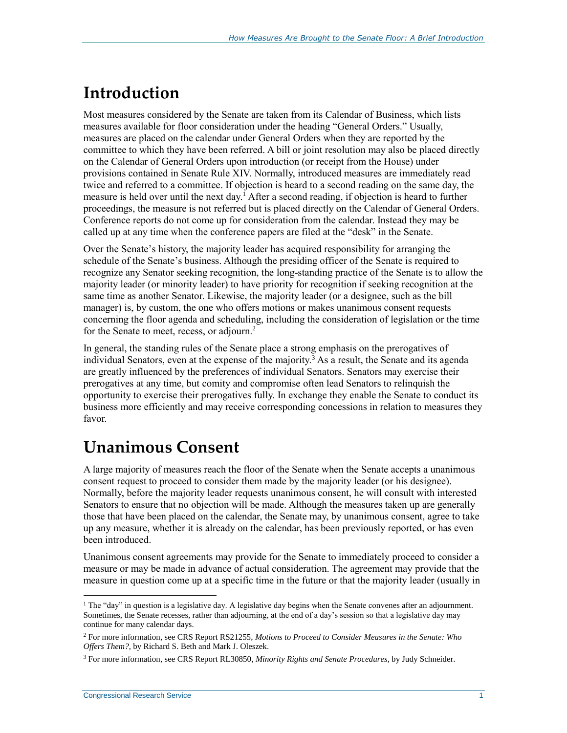# <span id="page-3-0"></span>**Introduction**

Most measures considered by the Senate are taken from its Calendar of Business, which lists measures available for floor consideration under the heading "General Orders." Usually, measures are placed on the calendar under General Orders when they are reported by the committee to which they have been referred. A bill or joint resolution may also be placed directly on the Calendar of General Orders upon introduction (or receipt from the House) under provisions contained in Senate Rule XIV. Normally, introduced measures are immediately read twice and referred to a committee. If objection is heard to a second reading on the same day, the measure is held over until the next day.<sup>1</sup> After a second reading, if objection is heard to further proceedings, the measure is not referred but is placed directly on the Calendar of General Orders. Conference reports do not come up for consideration from the calendar. Instead they may be called up at any time when the conference papers are filed at the "desk" in the Senate.

Over the Senate's history, the majority leader has acquired responsibility for arranging the schedule of the Senate's business. Although the presiding officer of the Senate is required to recognize any Senator seeking recognition, the long-standing practice of the Senate is to allow the majority leader (or minority leader) to have priority for recognition if seeking recognition at the same time as another Senator. Likewise, the majority leader (or a designee, such as the bill manager) is, by custom, the one who offers motions or makes unanimous consent requests concerning the floor agenda and scheduling, including the consideration of legislation or the time for the Senate to meet, recess, or adjourn.<sup>2</sup>

In general, the standing rules of the Senate place a strong emphasis on the prerogatives of individual Senators, even at the expense of the majority.<sup>3</sup> As a result, the Senate and its agenda are greatly influenced by the preferences of individual Senators. Senators may exercise their prerogatives at any time, but comity and compromise often lead Senators to relinquish the opportunity to exercise their prerogatives fully. In exchange they enable the Senate to conduct its business more efficiently and may receive corresponding concessions in relation to measures they favor.

# <span id="page-3-1"></span>**Unanimous Consent**

A large majority of measures reach the floor of the Senate when the Senate accepts a unanimous consent request to proceed to consider them made by the majority leader (or his designee). Normally, before the majority leader requests unanimous consent, he will consult with interested Senators to ensure that no objection will be made. Although the measures taken up are generally those that have been placed on the calendar, the Senate may, by unanimous consent, agree to take up any measure, whether it is already on the calendar, has been previously reported, or has even been introduced.

Unanimous consent agreements may provide for the Senate to immediately proceed to consider a measure or may be made in advance of actual consideration. The agreement may provide that the measure in question come up at a specific time in the future or that the majority leader (usually in

 $1$  The "day" in question is a legislative day. A legislative day begins when the Senate convenes after an adjournment. Sometimes, the Senate recesses, rather than adjourning, at the end of a day's session so that a legislative day may continue for many calendar days.

<sup>2</sup> For more information, see CRS Report RS21255, *Motions to Proceed to Consider Measures in the Senate: Who Offers Them?*, by Richard S. Beth and Mark J. Oleszek.

<sup>3</sup> For more information, see CRS Report RL30850, *Minority Rights and Senate Procedures*, by Judy Schneider.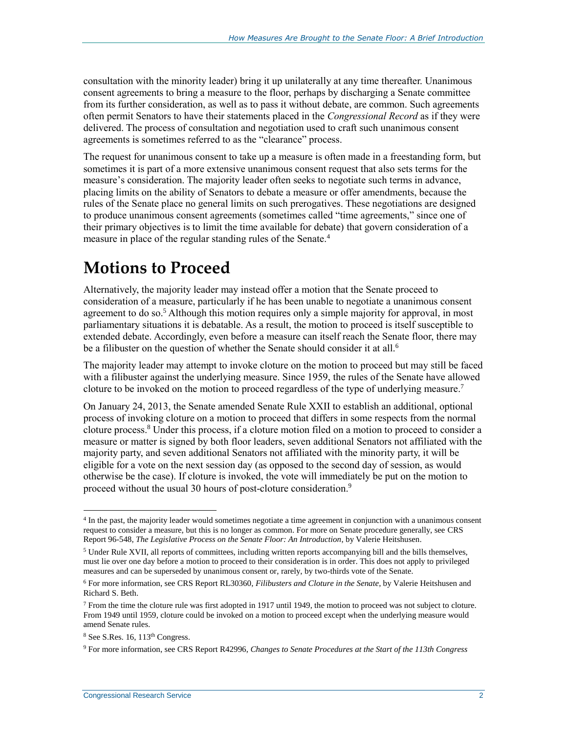consultation with the minority leader) bring it up unilaterally at any time thereafter. Unanimous consent agreements to bring a measure to the floor, perhaps by discharging a Senate committee from its further consideration, as well as to pass it without debate, are common. Such agreements often permit Senators to have their statements placed in the *Congressional Record* as if they were delivered. The process of consultation and negotiation used to craft such unanimous consent agreements is sometimes referred to as the "clearance" process.

The request for unanimous consent to take up a measure is often made in a freestanding form, but sometimes it is part of a more extensive unanimous consent request that also sets terms for the measure's consideration. The majority leader often seeks to negotiate such terms in advance, placing limits on the ability of Senators to debate a measure or offer amendments, because the rules of the Senate place no general limits on such prerogatives. These negotiations are designed to produce unanimous consent agreements (sometimes called "time agreements," since one of their primary objectives is to limit the time available for debate) that govern consideration of a measure in place of the regular standing rules of the Senate.<sup>4</sup>

### <span id="page-4-0"></span>**Motions to Proceed**

Alternatively, the majority leader may instead offer a motion that the Senate proceed to consideration of a measure, particularly if he has been unable to negotiate a unanimous consent agreement to do so.<sup>5</sup> Although this motion requires only a simple majority for approval, in most parliamentary situations it is debatable. As a result, the motion to proceed is itself susceptible to extended debate. Accordingly, even before a measure can itself reach the Senate floor, there may be a filibuster on the question of whether the Senate should consider it at all.<sup>6</sup>

The majority leader may attempt to invoke cloture on the motion to proceed but may still be faced with a filibuster against the underlying measure. Since 1959, the rules of the Senate have allowed cloture to be invoked on the motion to proceed regardless of the type of underlying measure.<sup>7</sup>

On January 24, 2013, the Senate amended Senate Rule XXII to establish an additional, optional process of invoking cloture on a motion to proceed that differs in some respects from the normal cloture process.<sup>8</sup> Under this process, if a cloture motion filed on a motion to proceed to consider a measure or matter is signed by both floor leaders, seven additional Senators not affiliated with the majority party, and seven additional Senators not affiliated with the minority party, it will be eligible for a vote on the next session day (as opposed to the second day of session, as would otherwise be the case). If cloture is invoked, the vote will immediately be put on the motion to proceed without the usual 30 hours of post-cloture consideration.<sup>9</sup>

<sup>4</sup> In the past, the majority leader would sometimes negotiate a time agreement in conjunction with a unanimous consent request to consider a measure, but this is no longer as common. For more on Senate procedure generally, see CRS Report 96-548, *The Legislative Process on the Senate Floor: An Introduction*, by Valerie Heitshusen.

<sup>5</sup> Under Rule XVII, all reports of committees, including written reports accompanying bill and the bills themselves, must lie over one day before a motion to proceed to their consideration is in order. This does not apply to privileged measures and can be superseded by unanimous consent or, rarely, by two-thirds vote of the Senate.

<sup>6</sup> For more information, see CRS Report RL30360, *Filibusters and Cloture in the Senate*, by Valerie Heitshusen and Richard S. Beth.

<sup>7</sup> From the time the cloture rule was first adopted in 1917 until 1949, the motion to proceed was not subject to cloture. From 1949 until 1959, cloture could be invoked on a motion to proceed except when the underlying measure would amend Senate rules.

<sup>8</sup> See S.Res. 16, 113th Congress.

<sup>9</sup> For more information, see CRS Report R42996, *Changes to Senate Procedures at the Start of the 113th Congress*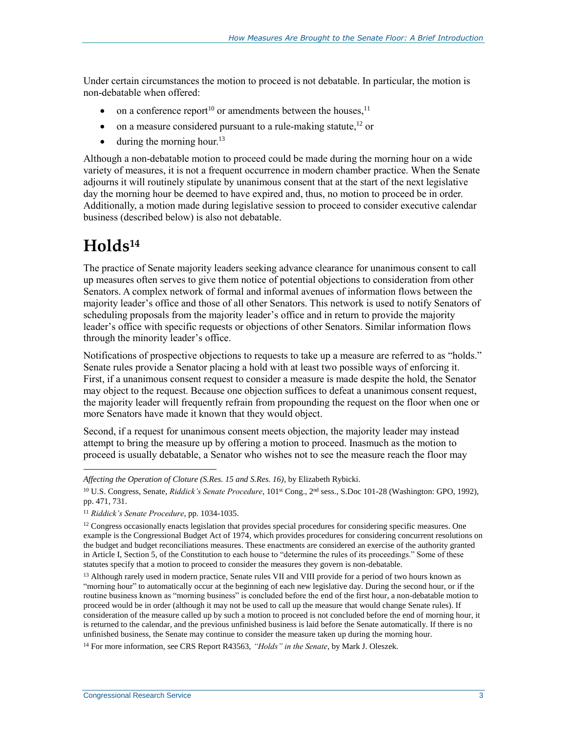Under certain circumstances the motion to proceed is not debatable. In particular, the motion is non-debatable when offered:

- on a conference report<sup>10</sup> or amendments between the houses,<sup>11</sup>
- $\bullet$  on a measure considered pursuant to a rule-making statute,<sup>12</sup> or
- $\bullet$  during the morning hour.<sup>13</sup>

Although a non-debatable motion to proceed could be made during the morning hour on a wide variety of measures, it is not a frequent occurrence in modern chamber practice. When the Senate adjourns it will routinely stipulate by unanimous consent that at the start of the next legislative day the morning hour be deemed to have expired and, thus, no motion to proceed be in order. Additionally, a motion made during legislative session to proceed to consider executive calendar business (described below) is also not debatable.

#### <span id="page-5-0"></span>**Holds<sup>14</sup>**

 $\overline{a}$ 

The practice of Senate majority leaders seeking advance clearance for unanimous consent to call up measures often serves to give them notice of potential objections to consideration from other Senators. A complex network of formal and informal avenues of information flows between the majority leader's office and those of all other Senators. This network is used to notify Senators of scheduling proposals from the majority leader's office and in return to provide the majority leader's office with specific requests or objections of other Senators. Similar information flows through the minority leader's office.

Notifications of prospective objections to requests to take up a measure are referred to as "holds." Senate rules provide a Senator placing a hold with at least two possible ways of enforcing it. First, if a unanimous consent request to consider a measure is made despite the hold, the Senator may object to the request. Because one objection suffices to defeat a unanimous consent request, the majority leader will frequently refrain from propounding the request on the floor when one or more Senators have made it known that they would object.

Second, if a request for unanimous consent meets objection, the majority leader may instead attempt to bring the measure up by offering a motion to proceed. Inasmuch as the motion to proceed is usually debatable, a Senator who wishes not to see the measure reach the floor may

*Affecting the Operation of Cloture (S.Res. 15 and S.Res. 16)*, by Elizabeth Rybicki.

<sup>&</sup>lt;sup>10</sup> U.S. Congress, Senate, *Riddick's Senate Procedure*, 101<sup>st</sup> Cong., 2<sup>nd</sup> sess., S.Doc 101-28 (Washington: GPO, 1992), pp. 471, 731.

<sup>11</sup> *Riddick's Senate Procedure*, pp. 1034-1035.

 $12$  Congress occasionally enacts legislation that provides special procedures for considering specific measures. One example is the Congressional Budget Act of 1974, which provides procedures for considering concurrent resolutions on the budget and budget reconciliations measures. These enactments are considered an exercise of the authority granted in Article I, Section 5, of the Constitution to each house to "determine the rules of its proceedings." Some of these statutes specify that a motion to proceed to consider the measures they govern is non-debatable.

<sup>&</sup>lt;sup>13</sup> Although rarely used in modern practice, Senate rules VII and VIII provide for a period of two hours known as "morning hour" to automatically occur at the beginning of each new legislative day. During the second hour, or if the routine business known as "morning business" is concluded before the end of the first hour, a non-debatable motion to proceed would be in order (although it may not be used to call up the measure that would change Senate rules). If consideration of the measure called up by such a motion to proceed is not concluded before the end of morning hour, it is returned to the calendar, and the previous unfinished business is laid before the Senate automatically. If there is no unfinished business, the Senate may continue to consider the measure taken up during the morning hour.

<sup>14</sup> For more information, see CRS Report R43563, *"Holds" in the Senate*, by Mark J. Oleszek.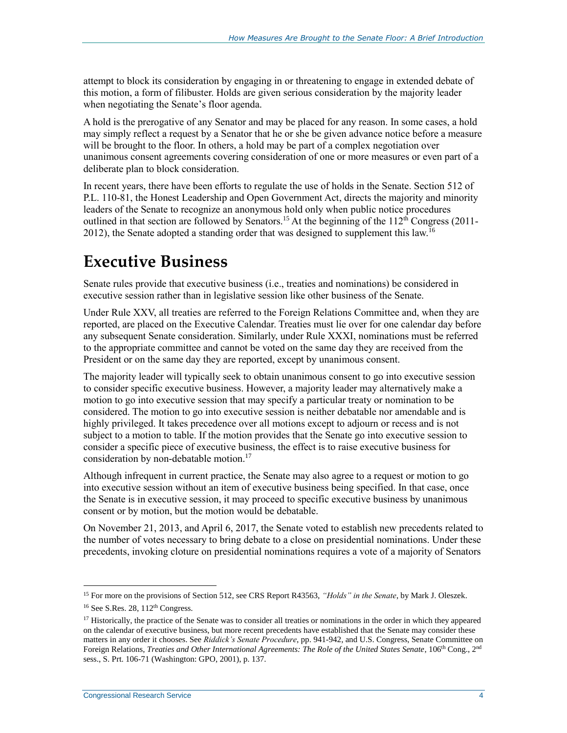attempt to block its consideration by engaging in or threatening to engage in extended debate of this motion, a form of filibuster. Holds are given serious consideration by the majority leader when negotiating the Senate's floor agenda.

A hold is the prerogative of any Senator and may be placed for any reason. In some cases, a hold may simply reflect a request by a Senator that he or she be given advance notice before a measure will be brought to the floor. In others, a hold may be part of a complex negotiation over unanimous consent agreements covering consideration of one or more measures or even part of a deliberate plan to block consideration.

In recent years, there have been efforts to regulate the use of holds in the Senate. Section 512 of P.L. 110-81, the Honest Leadership and Open Government Act, directs the majority and minority leaders of the Senate to recognize an anonymous hold only when public notice procedures outlined in that section are followed by Senators.<sup>15</sup> At the beginning of the  $112<sup>th</sup>$  Congress (2011-2012), the Senate adopted a standing order that was designed to supplement this law.<sup>16</sup>

### <span id="page-6-0"></span>**Executive Business**

Senate rules provide that executive business (i.e., treaties and nominations) be considered in executive session rather than in legislative session like other business of the Senate.

Under Rule XXV, all treaties are referred to the Foreign Relations Committee and, when they are reported, are placed on the Executive Calendar. Treaties must lie over for one calendar day before any subsequent Senate consideration. Similarly, under Rule XXXI, nominations must be referred to the appropriate committee and cannot be voted on the same day they are received from the President or on the same day they are reported, except by unanimous consent.

The majority leader will typically seek to obtain unanimous consent to go into executive session to consider specific executive business. However, a majority leader may alternatively make a motion to go into executive session that may specify a particular treaty or nomination to be considered. The motion to go into executive session is neither debatable nor amendable and is highly privileged. It takes precedence over all motions except to adjourn or recess and is not subject to a motion to table. If the motion provides that the Senate go into executive session to consider a specific piece of executive business, the effect is to raise executive business for consideration by non-debatable motion.<sup>17</sup>

Although infrequent in current practice, the Senate may also agree to a request or motion to go into executive session without an item of executive business being specified. In that case, once the Senate is in executive session, it may proceed to specific executive business by unanimous consent or by motion, but the motion would be debatable.

On November 21, 2013, and April 6, 2017, the Senate voted to establish new precedents related to the number of votes necessary to bring debate to a close on presidential nominations. Under these precedents, invoking cloture on presidential nominations requires a vote of a majority of Senators

<sup>15</sup> For more on the provisions of Section 512, see CRS Report R43563, *"Holds" in the Senate*, by Mark J. Oleszek.

 $16$  See S.Res. 28,  $112$ <sup>th</sup> Congress.

 $17$  Historically, the practice of the Senate was to consider all treaties or nominations in the order in which they appeared on the calendar of executive business, but more recent precedents have established that the Senate may consider these matters in any order it chooses. See *Riddick's Senate Procedure*, pp. 941-942, and U.S. Congress, Senate Committee on Foreign Relations, *Treaties and Other International Agreements: The Role of the United States Senate*, 106<sup>th</sup> Cong., 2<sup>nd</sup> sess., S. Prt. 106-71 (Washington: GPO, 2001), p. 137.